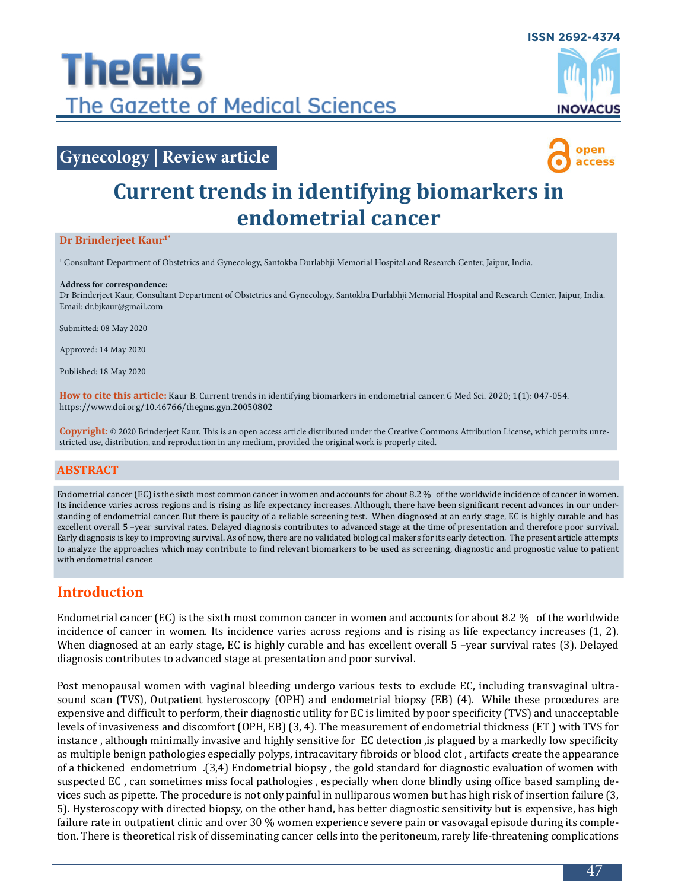

## **Gynecology | Review article**



# **Current trends in identifying biomarkers in endometrial cancer**

#### **Dr Brinderjeet Kaur1\***

1 Consultant Department of Obstetrics and Gynecology, Santokba Durlabhji Memorial Hospital and Research Center, Jaipur, India.

#### **Address for correspondence:**

Dr Brinderjeet Kaur, Consultant Department of Obstetrics and Gynecology, Santokba Durlabhji Memorial Hospital and Research Center, Jaipur, India. Email: dr.bjkaur@gmail.com

Submitted: 08 May 2020

Approved: 14 May 2020

Published: 18 May 2020

**How to cite this article:** Kaur B. Current trends in identifying biomarkers in endometrial cancer. G Med Sci. 2020; 1(1): 047-054. https://www.doi.org/10.46766/thegms.gyn.20050802

**Copyright:** © 2020 Brinderjeet Kaur. This is an open access article distributed under the Creative Commons Attribution License, which permits unrestricted use, distribution, and reproduction in any medium, provided the original work is properly cited.

#### **Abstract**

Endometrial cancer (EC) is the sixth most common cancer in women and accounts for about 8.2 % of the worldwide incidence of cancer in women. Its incidence varies across regions and is rising as life expectancy increases. Although, there have been significant recent advances in our understanding of endometrial cancer. But there is paucity of a reliable screening test. When diagnosed at an early stage, EC is highly curable and has excellent overall 5 –year survival rates. Delayed diagnosis contributes to advanced stage at the time of presentation and therefore poor survival. Early diagnosis is key to improving survival. As of now, there are no validated biological makers for its early detection. The present article attempts to analyze the approaches which may contribute to find relevant biomarkers to be used as screening, diagnostic and prognostic value to patient with endometrial cancer.

## **Introduction**

Endometrial cancer (EC) is the sixth most common cancer in women and accounts for about 8.2 % of the worldwide incidence of cancer in women. Its incidence varies across regions and is rising as life expectancy increases (1, 2). When diagnosed at an early stage, EC is highly curable and has excellent overall 5 -year survival rates (3). Delayed diagnosis contributes to advanced stage at presentation and poor survival.

Post menopausal women with vaginal bleeding undergo various tests to exclude EC, including transvaginal ultrasound scan (TVS), Outpatient hysteroscopy (OPH) and endometrial biopsy (EB) (4). While these procedures are expensive and difficult to perform, their diagnostic utility for EC is limited by poor specificity (TVS) and unacceptable levels of invasiveness and discomfort (OPH, EB) (3, 4). The measurement of endometrial thickness (ET ) with TVS for instance , although minimally invasive and highly sensitive for EC detection ,is plagued by a markedly low specificity as multiple benign pathologies especially polyps, intracavitary fibroids or blood clot , artifacts create the appearance of a thickened endometrium .(3,4) Endometrial biopsy , the gold standard for diagnostic evaluation of women with suspected EC , can sometimes miss focal pathologies , especially when done blindly using office based sampling devices such as pipette. The procedure is not only painful in nulliparous women but has high risk of insertion failure (3, 5). Hysteroscopy with directed biopsy, on the other hand, has better diagnostic sensitivity but is expensive, has high failure rate in outpatient clinic and over 30 % women experience severe pain or vasovagal episode during its completion. There is theoretical risk of disseminating cancer cells into the peritoneum, rarely life-threatening complications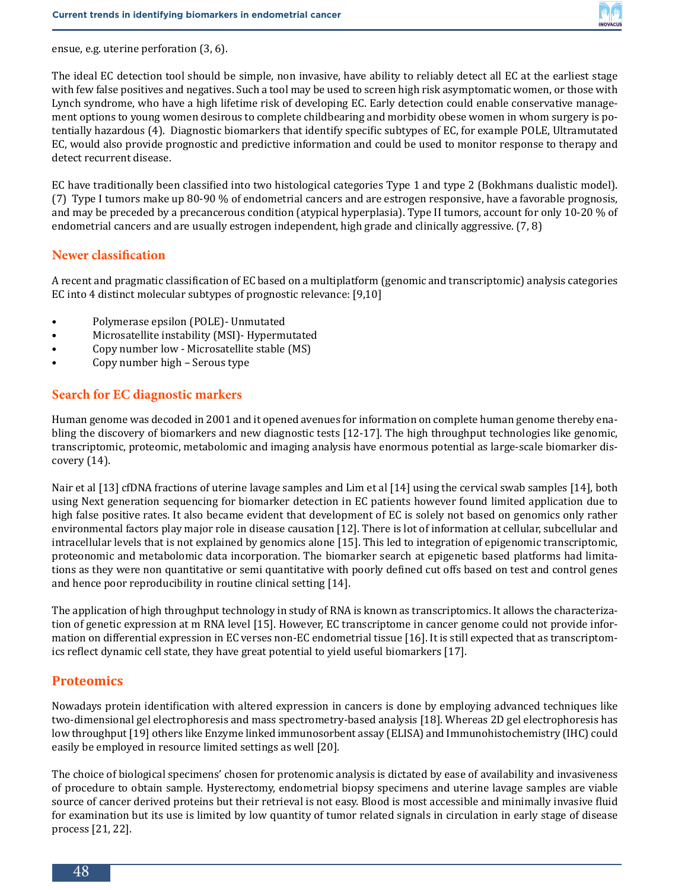

ensue, e.g. uterine perforation (3, 6).

The ideal EC detection tool should be simple, non invasive, have ability to reliably detect all EC at the earliest stage with few false positives and negatives. Such a tool may be used to screen high risk asymptomatic women, or those with Lynch syndrome, who have a high lifetime risk of developing EC. Early detection could enable conservative management options to young women desirous to complete childbearing and morbidity obese women in whom surgery is potentially hazardous (4). Diagnostic biomarkers that identify specific subtypes of EC, for example POLE, Ultramutated EC, would also provide prognostic and predictive information and could be used to monitor response to therapy and detect recurrent disease.

EC have traditionally been classified into two histological categories Type 1 and type 2 (Bokhmans dualistic model). (7) Type I tumors make up 80-90 % of endometrial cancers and are estrogen responsive, have a favorable prognosis, and may be preceded by a precancerous condition (atypical hyperplasia). Type II tumors, account for only 10-20 % of endometrial cancers and are usually estrogen independent, high grade and clinically aggressive. (7, 8)

#### **Newer classification**

A recent and pragmatic classification of EC based on a multiplatform (genomic and transcriptomic) analysis categories EC into 4 distinct molecular subtypes of prognostic relevance: [9,10]

- Polymerase epsilon (POLE)- Unmutated
- Microsatellite instability (MSI)- Hypermutated
- Copy number low Microsatellite stable (MS)
- Copy number high Serous type

#### **Search for EC diagnostic markers**

Human genome was decoded in 2001 and it opened avenues for information on complete human genome thereby enabling the discovery of biomarkers and new diagnostic tests [12-17]. The high throughput technologies like genomic, transcriptomic, proteomic, metabolomic and imaging analysis have enormous potential as large-scale biomarker discovery (14).

Nair et al [13] cfDNA fractions of uterine lavage samples and Lim et al [14] using the cervical swab samples [14], both using Next generation sequencing for biomarker detection in EC patients however found limited application due to high false positive rates. It also became evident that development of EC is solely not based on genomics only rather environmental factors play major role in disease causation [12]. There is lot of information at cellular, subcellular and intracellular levels that is not explained by genomics alone [15]. This led to integration of epigenomic transcriptomic, proteonomic and metabolomic data incorporation. The biomarker search at epigenetic based platforms had limitations as they were non quantitative or semi quantitative with poorly defined cut offs based on test and control genes and hence poor reproducibility in routine clinical setting [14].

The application of high throughput technology in study of RNA is known as transcriptomics. It allows the characterization of genetic expression at m RNA level [15]. However, EC transcriptome in cancer genome could not provide information on differential expression in EC verses non-EC endometrial tissue [16]. It is still expected that as transcriptomics reflect dynamic cell state, they have great potential to yield useful biomarkers [17].

#### **Proteomics**

Nowadays protein identification with altered expression in cancers is done by employing advanced techniques like two-dimensional gel electrophoresis and mass spectrometry-based analysis [18]. Whereas 2D gel electrophoresis has low throughput [19] others like Enzyme linked immunosorbent assay (ELISA) and Immunohistochemistry (IHC) could easily be employed in resource limited settings as well [20].

The choice of biological specimens' chosen for protenomic analysis is dictated by ease of availability and invasiveness of procedure to obtain sample. Hysterectomy, endometrial biopsy specimens and uterine lavage samples are viable source of cancer derived proteins but their retrieval is not easy. Blood is most accessible and minimally invasive fluid for examination but its use is limited by low quantity of tumor related signals in circulation in early stage of disease process [21, 22].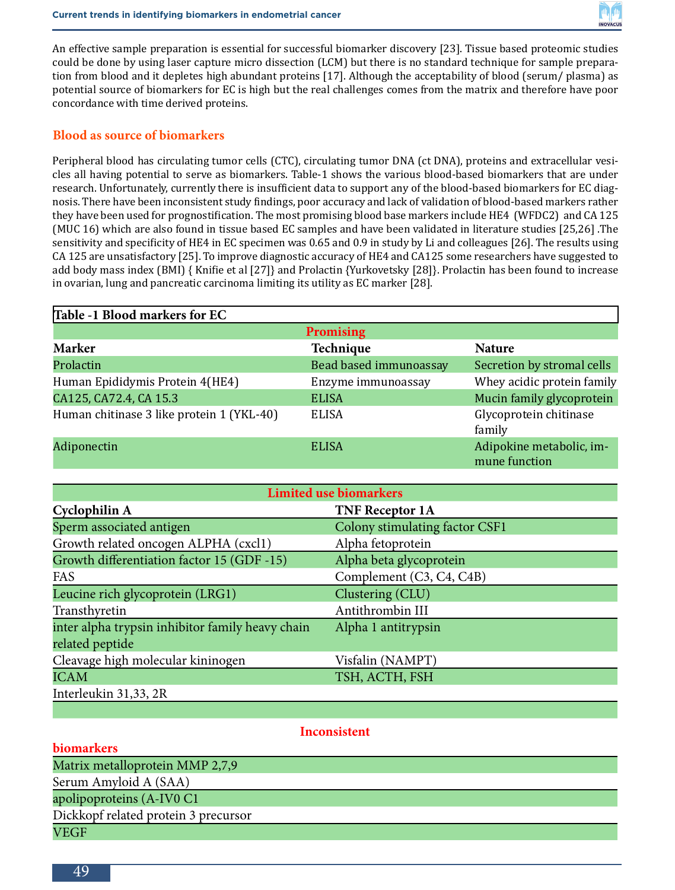

An effective sample preparation is essential for successful biomarker discovery [23]. Tissue based proteomic studies could be done by using laser capture micro dissection (LCM) but there is no standard technique for sample preparation from blood and it depletes high abundant proteins [17]. Although the acceptability of blood (serum/ plasma) as potential source of biomarkers for EC is high but the real challenges comes from the matrix and therefore have poor concordance with time derived proteins.

#### **Blood as source of biomarkers**

Peripheral blood has circulating tumor cells (CTC), circulating tumor DNA (ct DNA), proteins and extracellular vesicles all having potential to serve as biomarkers. Table-1 shows the various blood-based biomarkers that are under research. Unfortunately, currently there is insufficient data to support any of the blood-based biomarkers for EC diagnosis. There have been inconsistent study findings, poor accuracy and lack of validation of blood-based markers rather they have been used for prognostification. The most promising blood base markers include HE4 (WFDC2) and CA 125 (MUC 16) which are also found in tissue based EC samples and have been validated in literature studies [25,26] .The sensitivity and specificity of HE4 in EC specimen was 0.65 and 0.9 in study by Li and colleagues [26]. The results using CA 125 are unsatisfactory [25]. To improve diagnostic accuracy of HE4 and CA125 some researchers have suggested to add body mass index (BMI) { Knifie et al [27]} and Prolactin {Yurkovetsky [28]}. Prolactin has been found to increase in ovarian, lung and pancreatic carcinoma limiting its utility as EC marker [28].

| Table -1 Blood markers for EC             |                        |                                           |
|-------------------------------------------|------------------------|-------------------------------------------|
| <b>Promising</b>                          |                        |                                           |
| <b>Marker</b>                             | Technique              | <b>Nature</b>                             |
| Prolactin                                 | Bead based immunoassay | Secretion by stromal cells                |
| Human Epididymis Protein 4(HE4)           | Enzyme immunoassay     | Whey acidic protein family                |
| CA125, CA72.4, CA 15.3                    | <b>ELISA</b>           | Mucin family glycoprotein                 |
| Human chitinase 3 like protein 1 (YKL-40) | <b>ELISA</b>           | Glycoprotein chitinase<br>family          |
| Adiponectin                               | <b>ELISA</b>           | Adipokine metabolic, im-<br>mune function |

| <b>Limited use biomarkers</b>                    |                                |  |
|--------------------------------------------------|--------------------------------|--|
| Cyclophilin A                                    | <b>TNF Receptor 1A</b>         |  |
| Sperm associated antigen                         | Colony stimulating factor CSF1 |  |
| Growth related oncogen ALPHA (cxcl1)             | Alpha fetoprotein              |  |
| Growth differentiation factor 15 (GDF-15)        | Alpha beta glycoprotein        |  |
| FAS                                              | Complement (C3, C4, C4B)       |  |
| Leucine rich glycoprotein (LRG1)                 | Clustering (CLU)               |  |
| Transthyretin                                    | Antithrombin III               |  |
| inter alpha trypsin inhibitor family heavy chain | Alpha 1 antitrypsin            |  |
| related peptide                                  |                                |  |
| Cleavage high molecular kininogen                | Visfalin (NAMPT)               |  |
| <b>ICAM</b>                                      | TSH, ACTH, FSH                 |  |
| Interleukin 31,33, 2R                            |                                |  |

#### **Inconsistent**

**biomarkers** Matrix metalloprotein MMP 2,7,9 Serum Amyloid A (SAA) apolipoproteins (A-IV0 C1 Dickkopf related protein 3 precursor VEGF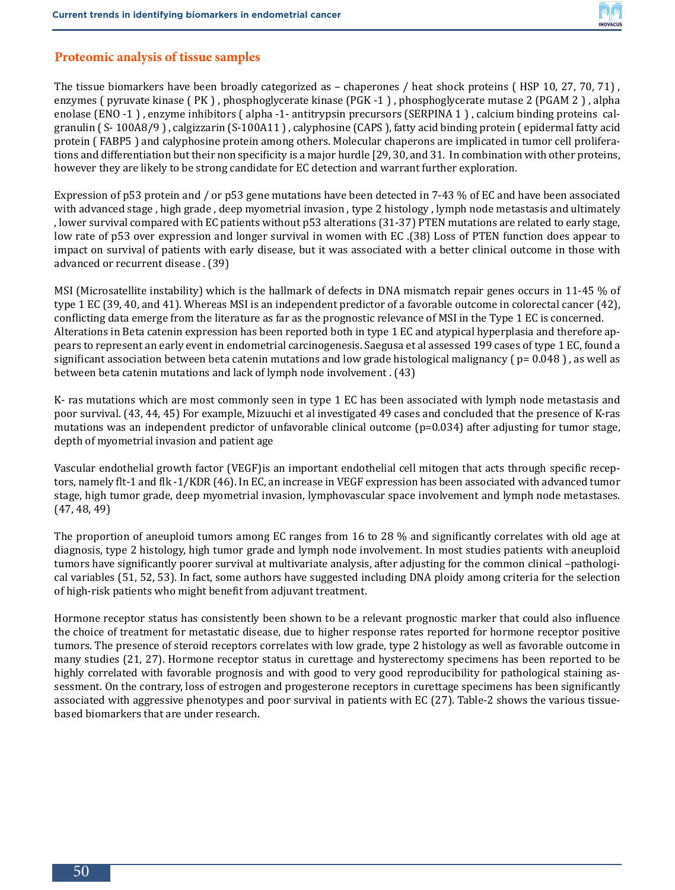

#### **Proteomic analysis of tissue samples**

The tissue biomarkers have been broadly categorized as – chaperones / heat shock proteins ( HSP 10, 27, 70, 71) , enzymes ( pyruvate kinase ( PK ) , phosphoglycerate kinase (PGK -1 ) , phosphoglycerate mutase 2 (PGAM 2 ) , alpha enolase (ENO -1 ) , enzyme inhibitors ( alpha -1- antitrypsin precursors (SERPINA 1 ) , calcium binding proteins calgranulin ( S- 100A8/9 ) , calgizzarin (S-100A11 ) , calyphosine (CAPS ), fatty acid binding protein ( epidermal fatty acid protein ( FABP5 ) and calyphosine protein among others. Molecular chaperons are implicated in tumor cell proliferations and differentiation but their non specificity is a major hurdle [29, 30, and 31. In combination with other proteins, however they are likely to be strong candidate for EC detection and warrant further exploration.

Expression of p53 protein and / or p53 gene mutations have been detected in 7-43 % of EC and have been associated with advanced stage , high grade , deep myometrial invasion , type 2 histology , lymph node metastasis and ultimately , lower survival compared with EC patients without p53 alterations (31-37) PTEN mutations are related to early stage, low rate of p53 over expression and longer survival in women with EC .(38) Loss of PTEN function does appear to impact on survival of patients with early disease, but it was associated with a better clinical outcome in those with advanced or recurrent disease . (39)

MSI (Microsatellite instability) which is the hallmark of defects in DNA mismatch repair genes occurs in 11-45 % of type 1 EC (39, 40, and 41). Whereas MSI is an independent predictor of a favorable outcome in colorectal cancer (42), conflicting data emerge from the literature as far as the prognostic relevance of MSI in the Type 1 EC is concerned. Alterations in Beta catenin expression has been reported both in type 1 EC and atypical hyperplasia and therefore appears to represent an early event in endometrial carcinogenesis. Saegusa et al assessed 199 cases of type 1 EC, found a significant association between beta catenin mutations and low grade histological malignancy ( $p=0.048$ ), as well as between beta catenin mutations and lack of lymph node involvement . (43)

K- ras mutations which are most commonly seen in type 1 EC has been associated with lymph node metastasis and poor survival. (43, 44, 45) For example, Mizuuchi et al investigated 49 cases and concluded that the presence of K-ras mutations was an independent predictor of unfavorable clinical outcome (p=0.034) after adjusting for tumor stage, depth of myometrial invasion and patient age

Vascular endothelial growth factor (VEGF)is an important endothelial cell mitogen that acts through specific receptors, namely flt-1 and flk -1/KDR (46). In EC, an increase in VEGF expression has been associated with advanced tumor stage, high tumor grade, deep myometrial invasion, lymphovascular space involvement and lymph node metastases. (47, 48, 49)

The proportion of aneuploid tumors among EC ranges from 16 to 28 % and significantly correlates with old age at diagnosis, type 2 histology, high tumor grade and lymph node involvement. In most studies patients with aneuploid tumors have significantly poorer survival at multivariate analysis, after adjusting for the common clinical –pathological variables (51, 52, 53). In fact, some authors have suggested including DNA ploidy among criteria for the selection of high-risk patients who might benefit from adjuvant treatment.

Hormone receptor status has consistently been shown to be a relevant prognostic marker that could also influence the choice of treatment for metastatic disease, due to higher response rates reported for hormone receptor positive tumors. The presence of steroid receptors correlates with low grade, type 2 histology as well as favorable outcome in many studies (21, 27). Hormone receptor status in curettage and hysterectomy specimens has been reported to be highly correlated with favorable prognosis and with good to very good reproducibility for pathological staining assessment. On the contrary, loss of estrogen and progesterone receptors in curettage specimens has been significantly associated with aggressive phenotypes and poor survival in patients with EC (27). Table-2 shows the various tissuebased biomarkers that are under research.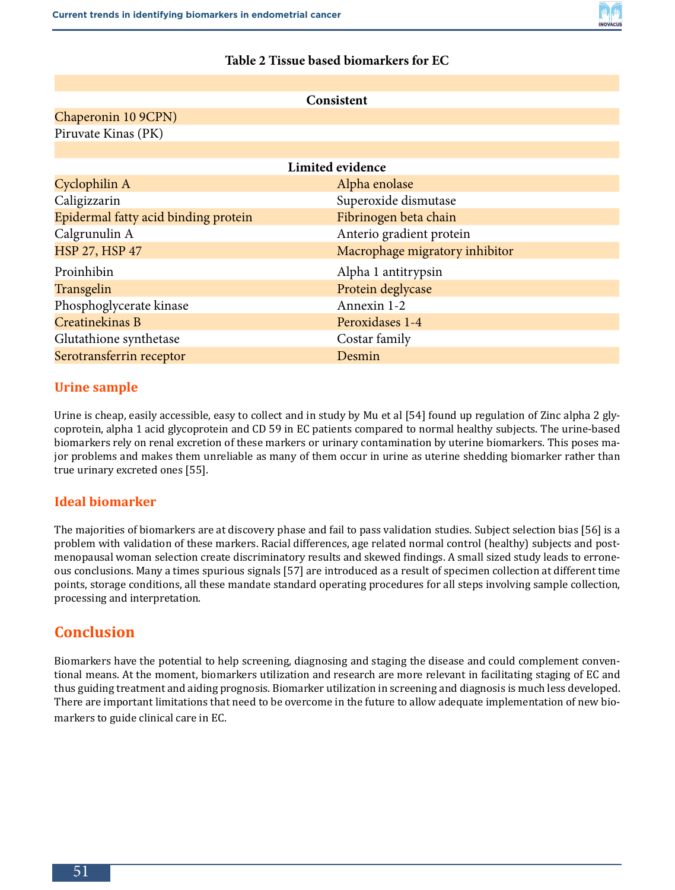

#### **Table 2 Tissue based biomarkers for EC**

| Consistent                           |                                |  |
|--------------------------------------|--------------------------------|--|
| Chaperonin 10 9CPN)                  |                                |  |
| Piruvate Kinas (PK)                  |                                |  |
|                                      |                                |  |
| Limited evidence                     |                                |  |
| Cyclophilin A                        | Alpha enolase                  |  |
| Caligizzarin                         | Superoxide dismutase           |  |
| Epidermal fatty acid binding protein | Fibrinogen beta chain          |  |
| Calgrunulin A                        | Anterio gradient protein       |  |
| <b>HSP 27, HSP 47</b>                | Macrophage migratory inhibitor |  |
| Proinhibin                           | Alpha 1 antitrypsin            |  |
| Transgelin                           | Protein deglycase              |  |
| Phosphoglycerate kinase              | Annexin 1-2                    |  |
| Creatinekinas B                      | Peroxidases 1-4                |  |
| Glutathione synthetase               | Costar family                  |  |
| Serotransferrin receptor             | Desmin                         |  |

#### **Urine sample**

Urine is cheap, easily accessible, easy to collect and in study by Mu et al [54] found up regulation of Zinc alpha 2 glycoprotein, alpha 1 acid glycoprotein and CD 59 in EC patients compared to normal healthy subjects. The urine-based biomarkers rely on renal excretion of these markers or urinary contamination by uterine biomarkers. This poses major problems and makes them unreliable as many of them occur in urine as uterine shedding biomarker rather than true urinary excreted ones [55].

#### **Ideal biomarker**

The majorities of biomarkers are at discovery phase and fail to pass validation studies. Subject selection bias [56] is a problem with validation of these markers. Racial differences, age related normal control (healthy) subjects and postmenopausal woman selection create discriminatory results and skewed findings. A small sized study leads to erroneous conclusions. Many a times spurious signals [57] are introduced as a result of specimen collection at different time points, storage conditions, all these mandate standard operating procedures for all steps involving sample collection, processing and interpretation.

## **Conclusion**

Biomarkers have the potential to help screening, diagnosing and staging the disease and could complement conventional means. At the moment, biomarkers utilization and research are more relevant in facilitating staging of EC and thus guiding treatment and aiding prognosis. Biomarker utilization in screening and diagnosis is much less developed. There are important limitations that need to be overcome in the future to allow adequate implementation of new biomarkers to guide clinical care in EC.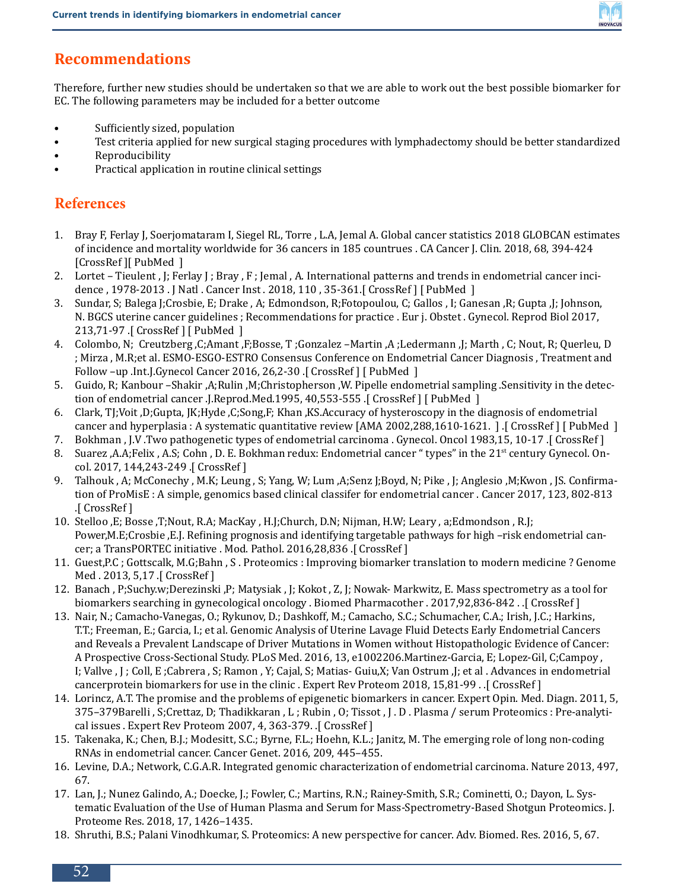

## **Recommendations**

Therefore, further new studies should be undertaken so that we are able to work out the best possible biomarker for EC. The following parameters may be included for a better outcome

- Sufficiently sized, population
- Test criteria applied for new surgical staging procedures with lymphadectomy should be better standardized
- Reproducibility
- Practical application in routine clinical settings

## **References**

- 1. Bray F, Ferlay J, Soerjomataram I, Siegel RL, Torre , L.A, Jemal A. Global cancer statistics 2018 GLOBCAN estimates of incidence and mortality worldwide for 36 cancers in 185 countrues . CA Cancer J. Clin. 2018, 68, 394-424 [CrossRef ][ PubMed ]
- 2. Lortet Tieulent , J; Ferlay J ; Bray , F ; Jemal , A. International patterns and trends in endometrial cancer incidence, 1978-2013. J Natl. Cancer Inst. 2018, 110, 35-361. [CrossRef] [ PubMed ]
- 3. Sundar, S; Balega J;Crosbie, E; Drake , A; Edmondson, R;Fotopoulou, C; Gallos , I; Ganesan ,R; Gupta ,J; Johnson, N. BGCS uterine cancer guidelines ; Recommendations for practice . Eur j. Obstet . Gynecol. Reprod Biol 2017, 213,71-97 .[ CrossRef ] [ PubMed ]
- 4. Colombo, N; Creutzberg ,C;Amant ,F;Bosse, T ;Gonzalez –Martin ,A ;Ledermann ,J; Marth , C; Nout, R; Querleu, D ; Mirza , M.R;et al. ESMO-ESGO-ESTRO Consensus Conference on Endometrial Cancer Diagnosis , Treatment and Follow -up .Int.J.Gynecol Cancer 2016, 26,2-30 .[ CrossRef ] [ PubMed ]
- 5. Guido, R; Kanbour –Shakir ,A;Rulin ,M;Christopherson ,W. Pipelle endometrial sampling .Sensitivity in the detection of endometrial cancer .J.Reprod.Med.1995, 40,553-555 .[ CrossRef ] [ PubMed ]
- 6. Clark, TJ;Voit ,D;Gupta, JK;Hyde ,C;Song,F; Khan ,KS.Accuracy of hysteroscopy in the diagnosis of endometrial cancer and hyperplasia : A systematic quantitative review [AMA 2002,288,1610-1621. ] .[ CrossRef ] [ PubMed ]
- 7. Bokhman , J.V .Two pathogenetic types of endometrial carcinoma . Gynecol. Oncol 1983,15, 10-17 .[ CrossRef ]
- 8. Suarez ,A.A;Felix , A.S; Cohn , D. E. Bokhman redux: Endometrial cancer " types" in the 21<sup>st</sup> century Gynecol. Oncol. 2017, 144,243-249 .[ CrossRef ]
- 9. Talhouk , A; McConechy , M.K; Leung , S; Yang, W; Lum ,A;Senz J;Boyd, N; Pike , J; Anglesio ,M;Kwon , JS. Confirmation of ProMisE : A simple, genomics based clinical classifer for endometrial cancer . Cancer 2017, 123, 802-813 .[ CrossRef ]
- 10. Stelloo ,E; Bosse ,T;Nout, R.A; MacKay , H.J;Church, D.N; Nijman, H.W; Leary , a;Edmondson , R.J; Power,M.E;Crosbie ,E.J. Refining prognosis and identifying targetable pathways for high –risk endometrial cancer; a TransPORTEC initiative . Mod. Pathol. 2016,28,836 .[ CrossRef ]
- 11. Guest,P.C ; Gottscalk, M.G;Bahn , S . Proteomics : Improving biomarker translation to modern medicine ? Genome Med . 2013, 5,17 .[ CrossRef ]
- 12. Banach , P;Suchy.w;Derezinski ,P; Matysiak , J; Kokot , Z, J; Nowak- Markwitz, E. Mass spectrometry as a tool for biomarkers searching in gynecological oncology . Biomed Pharmacother . 2017,92,836-842 . .[ CrossRef ]
- 13. Nair, N.; Camacho-Vanegas, O.; Rykunov, D.; Dashkoff, M.; Camacho, S.C.; Schumacher, C.A.; Irish, J.C.; Harkins, T.T.; Freeman, E.; Garcia, I.; et al. Genomic Analysis of Uterine Lavage Fluid Detects Early Endometrial Cancers and Reveals a Prevalent Landscape of Driver Mutations in Women without Histopathologic Evidence of Cancer: A Prospective Cross-Sectional Study. PLoS Med. 2016, 13, e1002206.Martinez-Garcia, E; Lopez-Gil, C;Campoy , I; Vallve , J ; Coll, E ;Cabrera , S; Ramon , Y; Cajal, S; Matias- Guiu,X; Van Ostrum ,J; et al . Advances in endometrial cancerprotein biomarkers for use in the clinic . Expert Rev Proteom 2018, 15,81-99 . .[ CrossRef ]
- 14. Lorincz, A.T. The promise and the problems of epigenetic biomarkers in cancer. Expert Opin. Med. Diagn. 2011, 5, 375–379Barelli , S;Crettaz, D; Thadikkaran , L ; Rubin , O; Tissot , J . D . Plasma / serum Proteomics : Pre-analytical issues . Expert Rev Proteom 2007, 4, 363-379. .[ CrossRef ]
- 15. Takenaka, K.; Chen, B.J.; Modesitt, S.C.; Byrne, F.L.; Hoehn, K.L.; Janitz, M. The emerging role of long non-coding RNAs in endometrial cancer. Cancer Genet. 2016, 209, 445–455.
- 16. Levine, D.A.; Network, C.G.A.R. Integrated genomic characterization of endometrial carcinoma. Nature 2013, 497, 67.
- 17. Lan, J.; Nunez Galindo, A.; Doecke, J.; Fowler, C.; Martins, R.N.; Rainey-Smith, S.R.; Cominetti, O.; Dayon, L. Systematic Evaluation of the Use of Human Plasma and Serum for Mass-Spectrometry-Based Shotgun Proteomics. J. Proteome Res. 2018, 17, 1426–1435.
- 18. Shruthi, B.S.; Palani Vinodhkumar, S. Proteomics: A new perspective for cancer. Adv. Biomed. Res. 2016, 5, 67.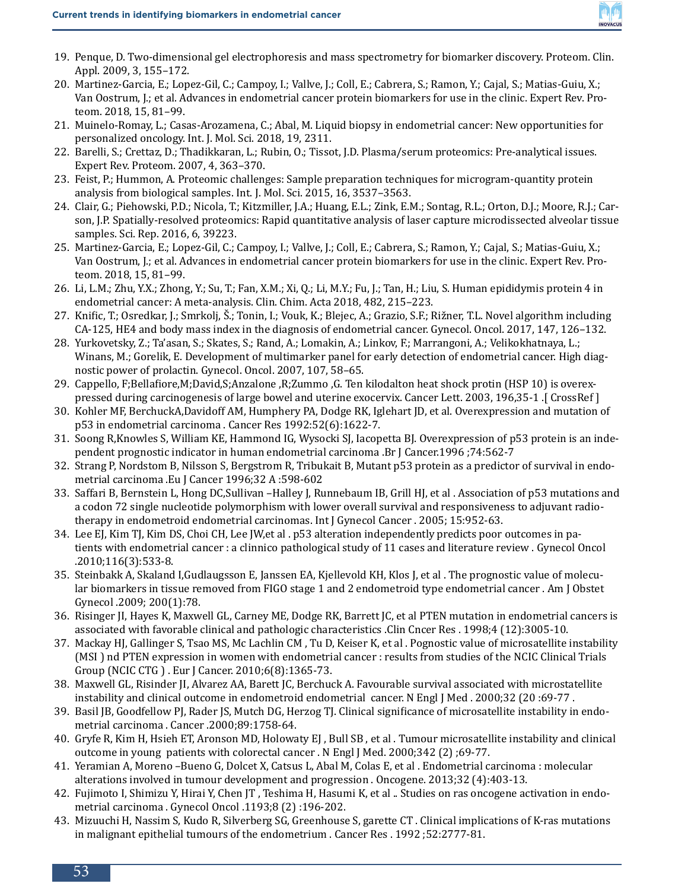

- 19. Penque, D. Two-dimensional gel electrophoresis and mass spectrometry for biomarker discovery. Proteom. Clin. Appl. 2009, 3, 155–172.
- 20. Martinez-Garcia, E.; Lopez-Gil, C.; Campoy, I.; Vallve, J.; Coll, E.; Cabrera, S.; Ramon, Y.; Cajal, S.; Matias-Guiu, X.; Van Oostrum, J.; et al. Advances in endometrial cancer protein biomarkers for use in the clinic. Expert Rev. Proteom. 2018, 15, 81–99.
- 21. Muinelo-Romay, L.; Casas-Arozamena, C.; Abal, M. Liquid biopsy in endometrial cancer: New opportunities for personalized oncology. Int. J. Mol. Sci. 2018, 19, 2311.
- 22. Barelli, S.; Crettaz, D.; Thadikkaran, L.; Rubin, O.; Tissot, J.D. Plasma/serum proteomics: Pre-analytical issues. Expert Rev. Proteom. 2007, 4, 363–370.
- 23. Feist, P.; Hummon, A. Proteomic challenges: Sample preparation techniques for microgram-quantity protein analysis from biological samples. Int. J. Mol. Sci. 2015, 16, 3537–3563.
- 24. Clair, G.; Piehowski, P.D.; Nicola, T.; Kitzmiller, J.A.; Huang, E.L.; Zink, E.M.; Sontag, R.L.; Orton, D.J.; Moore, R.J.; Carson, J.P. Spatially-resolved proteomics: Rapid quantitative analysis of laser capture microdissected alveolar tissue samples. Sci. Rep. 2016, 6, 39223.
- 25. Martinez-Garcia, E.; Lopez-Gil, C.; Campoy, I.; Vallve, J.; Coll, E.; Cabrera, S.; Ramon, Y.; Cajal, S.; Matias-Guiu, X.; Van Oostrum, J.; et al. Advances in endometrial cancer protein biomarkers for use in the clinic. Expert Rev. Proteom. 2018, 15, 81–99.
- 26. Li, L.M.; Zhu, Y.X.; Zhong, Y.; Su, T.; Fan, X.M.; Xi, Q.; Li, M.Y.; Fu, J.; Tan, H.; Liu, S. Human epididymis protein 4 in endometrial cancer: A meta-analysis. Clin. Chim. Acta 2018, 482, 215–223.
- 27. Knific, T.; Osredkar, J.; Smrkolj, Š.; Tonin, I.; Vouk, K.; Blejec, A.; Grazio, S.F.; Rižner, T.L. Novel algorithm including CA-125, HE4 and body mass index in the diagnosis of endometrial cancer. Gynecol. Oncol. 2017, 147, 126–132.
- 28. Yurkovetsky, Z.; Ta'asan, S.; Skates, S.; Rand, A.; Lomakin, A.; Linkov, F.; Marrangoni, A.; Velikokhatnaya, L.; Winans, M.; Gorelik, E. Development of multimarker panel for early detection of endometrial cancer. High diagnostic power of prolactin. Gynecol. Oncol. 2007, 107, 58–65.
- 29. Cappello, F;Bellafiore,M;David,S;Anzalone ,R;Zummo ,G. Ten kilodalton heat shock protin (HSP 10) is overexpressed during carcinogenesis of large bowel and uterine exocervix. Cancer Lett. 2003, 196,35-1 .[ CrossRef ]
- 30. Kohler MF, BerchuckA,Davidoff AM, Humphery PA, Dodge RK, Iglehart JD, et al. Overexpression and mutation of p53 in endometrial carcinoma . Cancer Res 1992:52(6):1622-7.
- 31. Soong R,Knowles S, William KE, Hammond IG, Wysocki SJ, Iacopetta BJ. Overexpression of p53 protein is an independent prognostic indicator in human endometrial carcinoma .Br J Cancer.1996 ;74:562-7
- 32. Strang P, Nordstom B, Nilsson S, Bergstrom R, Tribukait B, Mutant p53 protein as a predictor of survival in endometrial carcinoma .Eu J Cancer 1996;32 A :598-602
- 33. Saffari B, Bernstein L, Hong DC,Sullivan –Halley J, Runnebaum IB, Grill HJ, et al . Association of p53 mutations and a codon 72 single nucleotide polymorphism with lower overall survival and responsiveness to adjuvant radiotherapy in endometroid endometrial carcinomas. Int J Gynecol Cancer . 2005; 15:952-63.
- 34. Lee EJ, Kim TJ, Kim DS, Choi CH, Lee JW,et al . p53 alteration independently predicts poor outcomes in patients with endometrial cancer : a clinnico pathological study of 11 cases and literature review . Gynecol Oncol .2010;116(3):533-8.
- 35. Steinbakk A, Skaland I,Gudlaugsson E, Janssen EA, Kjellevold KH, Klos J, et al . The prognostic value of molecular biomarkers in tissue removed from FIGO stage 1 and 2 endometroid type endometrial cancer . Am J Obstet Gynecol .2009; 200(1):78.
- 36. Risinger JI, Hayes K, Maxwell GL, Carney ME, Dodge RK, Barrett JC, et al PTEN mutation in endometrial cancers is associated with favorable clinical and pathologic characteristics .Clin Cncer Res . 1998;4 (12):3005-10.
- 37. Mackay HJ, Gallinger S, Tsao MS, Mc Lachlin CM , Tu D, Keiser K, et al . Pognostic value of microsatellite instability (MSI ) nd PTEN expression in women with endometrial cancer : results from studies of the NCIC Clinical Trials Group (NCIC CTG ) . Eur J Cancer. 2010;6(8):1365-73.
- 38. Maxwell GL, Risinder JI, Alvarez AA, Barett JC, Berchuck A. Favourable survival associated with microstatellite instability and clinical outcome in endometroid endometrial cancer. N Engl J Med . 2000;32 (20 :69-77 .
- 39. Basil JB, Goodfellow PJ, Rader JS, Mutch DG, Herzog TJ. Clinical significance of microsatellite instability in endometrial carcinoma . Cancer .2000;89:1758-64.
- 40. Gryfe R, Kim H, Hsieh ET, Aronson MD, Holowaty EJ , Bull SB , et al . Tumour microsatellite instability and clinical outcome in young patients with colorectal cancer . N Engl J Med. 2000;342 (2) ;69-77.
- 41. Yeramian A, Moreno –Bueno G, Dolcet X, Catsus L, Abal M, Colas E, et al . Endometrial carcinoma : molecular alterations involved in tumour development and progression . Oncogene. 2013;32 (4):403-13.
- 42. Fujimoto I, Shimizu Y, Hirai Y, Chen JT , Teshima H, Hasumi K, et al .. Studies on ras oncogene activation in endometrial carcinoma . Gynecol Oncol .1193;8 (2) :196-202.
- 43. Mizuuchi H, Nassim S, Kudo R, Silverberg SG, Greenhouse S, garette CT . Clinical implications of K-ras mutations in malignant epithelial tumours of the endometrium . Cancer Res . 1992 ;52:2777-81.